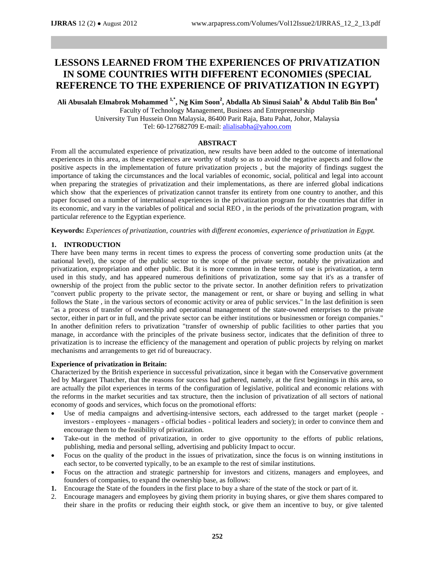# **LESSONS LEARNED FROM THE EXPERIENCES OF PRIVATIZATION IN SOME COUNTRIES WITH DIFFERENT ECONOMIES (SPECIAL REFERENCE TO THE EXPERIENCE OF PRIVATIZATION IN EGYPT)**

**Ali Abusalah Elmabrok Mohammed 1,\*, Ng Kim Soon<sup>2</sup> , Abdalla Ab Sinusi Saiah<sup>3</sup> & Abdul Talib Bin Bon<sup>4</sup>** Faculty of Technology Management, Business and Entrepreneurship

University Tun Hussein Onn Malaysia, 86400 Parit Raja, Batu Pahat, Johor, Malaysia Tel: 60-127682709 E-mail: [alialisabha@yahoo.com](mailto:alialisabha@yahoo.com) 

# **ABSTRACT**

From all the accumulated experience of privatization, new results have been added to the outcome of international experiences in this area, as these experiences are worthy of study so as to avoid the negative aspects and follow the positive aspects in the implementation of future privatization projects , but the majority of findings suggest the importance of taking the circumstances and the local variables of economic, social, political and legal into account when preparing the strategies of privatization and their implementations, as there are inferred global indications which show that the experiences of privatization cannot transfer its entirety from one country to another, and this paper focused on a number of international experiences in the privatization program for the countries that differ in its economic, and vary in the variables of political and social REO , in the periods of the privatization program, with particular reference to the Egyptian experience.

**Keywords:** *Experiences of privatization, countries with different economies, experience of privatization in Egypt.*

# **1. INTRODUCTION**

There have been many terms in recent times to express the process of converting some production units (at the national level), the scope of the public sector to the scope of the private sector, notably the privatization and privatization, expropriation and other public. But it is more common in these terms of use is privatization, a term used in this study, and has appeared numerous definitions of privatization, some say that it's as a transfer of ownership of the project from the public sector to the private sector. In another definition refers to privatization "convert public property to the private sector, the management or rent, or share or buying and selling in what follows the State , in the various sectors of economic activity or area of public services." In the last definition is seen "as a process of transfer of ownership and operational management of the state-owned enterprises to the private sector, either in part or in full, and the private sector can be either institutions or businessmen or foreign companies." In another definition refers to privatization "transfer of ownership of public facilities to other parties that you manage, in accordance with the principles of the private business sector, indicates that the definition of three to privatization is to increase the efficiency of the management and operation of public projects by relying on market mechanisms and arrangements to get rid of bureaucracy.

# **Experience of privatization in Britain:**

Characterized by the British experience in successful privatization, since it began with the Conservative government led by Margaret Thatcher, that the reasons for success had gathered, namely, at the first beginnings in this area, so are actually the pilot experiences in terms of the configuration of legislative, political and economic relations with the reforms in the market securities and tax structure, then the inclusion of privatization of all sectors of national economy of goods and services, which focus on the promotional efforts:

- Use of media campaigns and advertising-intensive sectors, each addressed to the target market (people investors - employees - managers - official bodies - political leaders and society); in order to convince them and encourage them to the feasibility of privatization.
- Take-out in the method of privatization, in order to give opportunity to the efforts of public relations, publishing, media and personal selling, advertising and publicity Impact to occur.
- Focus on the quality of the product in the issues of privatization, since the focus is on winning institutions in each sector, to be converted typically, to be an example to the rest of similar institutions.
- Focus on the attraction and strategic partnership for investors and citizens, managers and employees, and founders of companies, to expand the ownership base, as follows:
- **1.** Encourage the State of the founders in the first place to buy a share of the state of the stock or part of it.
- 2. Encourage managers and employees by giving them priority in buying shares, or give them shares compared to their share in the profits or reducing their eighth stock, or give them an incentive to buy, or give talented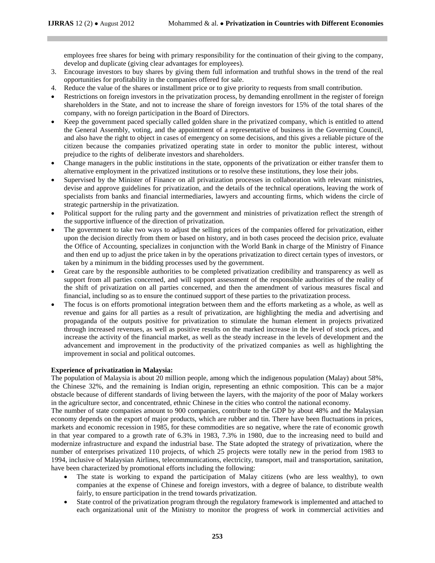employees free shares for being with primary responsibility for the continuation of their giving to the company, develop and duplicate (giving clear advantages for employees).

- 3. Encourage investors to buy shares by giving them full information and truthful shows in the trend of the real opportunities for profitability in the companies offered for sale.
- 4. Reduce the value of the shares or installment price or to give priority to requests from small contribution.
- Restrictions on foreign investors in the privatization process, by demanding enrollment in the register of foreign shareholders in the State, and not to increase the share of foreign investors for 15% of the total shares of the company, with no foreign participation in the Board of Directors.
- Keep the government paced specially called golden share in the privatized company, which is entitled to attend the General Assembly, voting, and the appointment of a representative of business in the Governing Council, and also have the right to object in cases of emergency on some decisions, and this gives a reliable picture of the citizen because the companies privatized operating state in order to monitor the public interest, without prejudice to the rights of deliberate investors and shareholders.
- Change managers in the public institutions in the state, opponents of the privatization or either transfer them to alternative employment in the privatized institutions or to resolve these institutions, they lose their jobs.
- Supervised by the Minister of Finance on all privatization processes in collaboration with relevant ministries, devise and approve guidelines for privatization, and the details of the technical operations, leaving the work of specialists from banks and financial intermediaries, lawyers and accounting firms, which widens the circle of strategic partnership in the privatization.
- Political support for the ruling party and the government and ministries of privatization reflect the strength of the supportive influence of the direction of privatization.
- The government to take two ways to adjust the selling prices of the companies offered for privatization, either upon the decision directly from them or based on history, and in both cases proceed the decision price, evaluate the Office of Accounting, specializes in conjunction with the World Bank in charge of the Ministry of Finance and then end up to adjust the price taken in by the operations privatization to direct certain types of investors, or taken by a minimum in the bidding processes used by the government.
- Great care by the responsible authorities to be completed privatization credibility and transparency as well as support from all parties concerned, and will support assessment of the responsible authorities of the reality of the shift of privatization on all parties concerned, and then the amendment of various measures fiscal and financial, including so as to ensure the continued support of these parties to the privatization process.
- The focus is on efforts promotional integration between them and the efforts marketing as a whole, as well as revenue and gains for all parties as a result of privatization, are highlighting the media and advertising and propaganda of the outputs positive for privatization to stimulate the human element in projects privatized through increased revenues, as well as positive results on the marked increase in the level of stock prices, and increase the activity of the financial market, as well as the steady increase in the levels of development and the advancement and improvement in the productivity of the privatized companies as well as highlighting the improvement in social and political outcomes.

#### **Experience of privatization in Malaysia:**

The population of Malaysia is about 20 million people, among which the indigenous population (Malay) about 58%, the Chinese 32%, and the remaining is Indian origin, representing an ethnic composition. This can be a major obstacle because of different standards of living between the layers, with the majority of the poor of Malay workers in the agriculture sector, and concentrated, ethnic Chinese in the cities who control the national economy.

The number of state companies amount to 900 companies, contribute to the GDP by about 48% and the Malaysian economy depends on the export of major products, which are rubber and tin. There have been fluctuations in prices, markets and economic recession in 1985, for these commodities are so negative, where the rate of economic growth in that year compared to a growth rate of 6.3% in 1983, 7.3% in 1980, due to the increasing need to build and modernize infrastructure and expand the industrial base. The State adopted the strategy of privatization, where the number of enterprises privatized 110 projects, of which 25 projects were totally new in the period from 1983 to 1994, inclusive of Malaysian Airlines, telecommunications, electricity, transport, mail and transportation, sanitation, have been characterized by promotional efforts including the following:

- The state is working to expand the participation of Malay citizens (who are less wealthy), to own companies at the expense of Chinese and foreign investors, with a degree of balance, to distribute wealth fairly, to ensure participation in the trend towards privatization.
- State control of the privatization program through the regulatory framework is implemented and attached to each organizational unit of the Ministry to monitor the progress of work in commercial activities and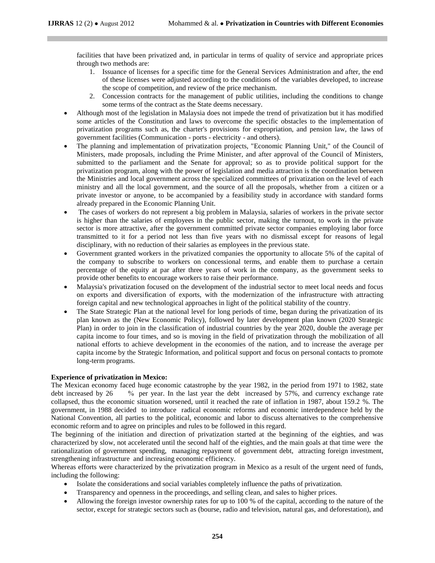facilities that have been privatized and, in particular in terms of quality of service and appropriate prices through two methods are:

- 1. Issuance of licenses for a specific time for the General Services Administration and after, the end of these licenses were adjusted according to the conditions of the variables developed, to increase the scope of competition, and review of the price mechanism.
- 2. Concession contracts for the management of public utilities, including the conditions to change some terms of the contract as the State deems necessary.
- Although most of the legislation in Malaysia does not impede the trend of privatization but it has modified some articles of the Constitution and laws to overcome the specific obstacles to the implementation of privatization programs such as, the charter's provisions for expropriation, and pension law, the laws of government facilities (Communication - ports - electricity - and others).
- The planning and implementation of privatization projects, "Economic Planning Unit," of the Council of Ministers, made proposals, including the Prime Minister, and after approval of the Council of Ministers, submitted to the parliament and the Senate for approval; so as to provide political support for the privatization program, along with the power of legislation and media attraction is the coordination between the Ministries and local government across the specialized committees of privatization on the level of each ministry and all the local government, and the source of all the proposals, whether from a citizen or a private investor or anyone, to be accompanied by a feasibility study in accordance with standard forms already prepared in the Economic Planning Unit.
- The cases of workers do not represent a big problem in Malaysia, salaries of workers in the private sector is higher than the salaries of employees in the public sector, making the turnout, to work in the private sector is more attractive, after the government committed private sector companies employing labor force transmitted to it for a period not less than five years with no dismissal except for reasons of legal disciplinary, with no reduction of their salaries as employees in the previous state.
- Government granted workers in the privatized companies the opportunity to allocate 5% of the capital of the company to subscribe to workers on concessional terms, and enable them to purchase a certain percentage of the equity at par after three years of work in the company, as the government seeks to provide other benefits to encourage workers to raise their performance.
- Malaysia's privatization focused on the development of the industrial sector to meet local needs and focus on exports and diversification of exports, with the modernization of the infrastructure with attracting foreign capital and new technological approaches in light of the political stability of the country.
- The State Strategic Plan at the national level for long periods of time, began during the privatization of its plan known as the (New Economic Policy), followed by later development plan known (2020 Strategic Plan) in order to join in the classification of industrial countries by the year 2020, double the average per capita income to four times, and so is moving in the field of privatization through the mobilization of all national efforts to achieve development in the economies of the nation, and to increase the average per capita income by the Strategic Information, and political support and focus on personal contacts to promote long-term programs.

# **Experience of privatization in Mexico:**

The Mexican economy faced huge economic catastrophe by the year 1982, in the period from 1971 to 1982, state debt increased by 26 % per year. In the last year the debt increased by 57%, and currency exchange rate collapsed, thus the economic situation worsened, until it reached the rate of inflation in 1987, about 159.2 %. The government, in 1988 decided to introduce radical economic reforms and economic interdependence held by the National Convention, all parties to the political, economic and labor to discuss alternatives to the comprehensive economic reform and to agree on principles and rules to be followed in this regard.

The beginning of the initiation and direction of privatization started at the beginning of the eighties, and was characterized by slow, not accelerated until the second half of the eighties, and the main goals at that time were the rationalization of government spending, managing repayment of government debt, attracting foreign investment, strengthening infrastructure and increasing economic efficiency.

Whereas efforts were characterized by the privatization program in Mexico as a result of the urgent need of funds, including the following:

- Isolate the considerations and social variables completely influence the paths of privatization.
- Transparency and openness in the proceedings, and selling clean, and sales to higher prices.
- Allowing the foreign investor ownership rates for up to 100 % of the capital, according to the nature of the sector, except for strategic sectors such as (bourse, radio and television, natural gas, and deforestation), and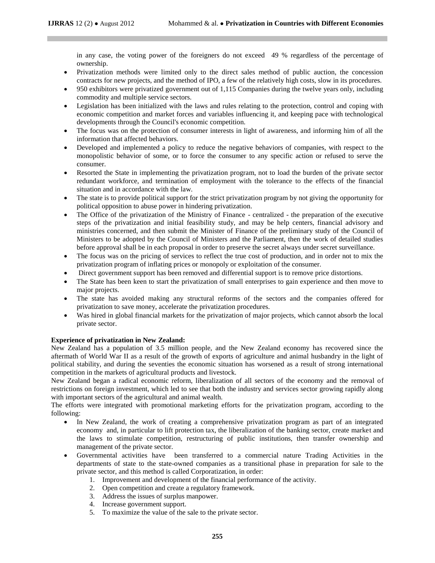in any case, the voting power of the foreigners do not exceed 49 % regardless of the percentage of ownership.

- Privatization methods were limited only to the direct sales method of public auction, the concession contracts for new projects, and the method of IPO, a few of the relatively high costs, slow in its procedures.
- 950 exhibitors were privatized government out of 1,115 Companies during the twelve years only, including commodity and multiple service sectors.
- Legislation has been initialized with the laws and rules relating to the protection, control and coping with economic competition and market forces and variables influencing it, and keeping pace with technological developments through the Council's economic competition.
- The focus was on the protection of consumer interests in light of awareness, and informing him of all the information that affected behaviors.
- Developed and implemented a policy to reduce the negative behaviors of companies, with respect to the monopolistic behavior of some, or to force the consumer to any specific action or refused to serve the consumer.
- Resorted the State in implementing the privatization program, not to load the burden of the private sector redundant workforce, and termination of employment with the tolerance to the effects of the financial situation and in accordance with the law.
- The state is to provide political support for the strict privatization program by not giving the opportunity for political opposition to abuse power in hindering privatization.
- The Office of the privatization of the Ministry of Finance centralized the preparation of the executive steps of the privatization and initial feasibility study, and may be help centers, financial advisory and ministries concerned, and then submit the Minister of Finance of the preliminary study of the Council of Ministers to be adopted by the Council of Ministers and the Parliament, then the work of detailed studies before approval shall be in each proposal in order to preserve the secret always under secret surveillance.
- The focus was on the pricing of services to reflect the true cost of production, and in order not to mix the privatization program of inflating prices or monopoly or exploitation of the consumer.
- Direct government support has been removed and differential support is to remove price distortions.
- The State has been keen to start the privatization of small enterprises to gain experience and then move to major projects.
- The state has avoided making any structural reforms of the sectors and the companies offered for privatization to save money, accelerate the privatization procedures.
- Was hired in global financial markets for the privatization of major projects, which cannot absorb the local private sector.

# **Experience of privatization in New Zealand:**

New Zealand has a population of 3.5 million people, and the New Zealand economy has recovered since the aftermath of World War II as a result of the growth of exports of agriculture and animal husbandry in the light of political stability, and during the seventies the economic situation has worsened as a result of strong international competition in the markets of agricultural products and livestock.

New Zealand began a radical economic reform, liberalization of all sectors of the economy and the removal of restrictions on foreign investment, which led to see that both the industry and services sector growing rapidly along with important sectors of the agricultural and animal wealth.

The efforts were integrated with promotional marketing efforts for the privatization program, according to the following:

- In New Zealand, the work of creating a comprehensive privatization program as part of an integrated economy and, in particular to lift protection tax, the liberalization of the banking sector, create market and the laws to stimulate competition, restructuring of public institutions, then transfer ownership and management of the private sector.
- Governmental activities have been transferred to a commercial nature Trading Activities in the departments of state to the state-owned companies as a transitional phase in preparation for sale to the private sector, and this method is called Corporatization, in order:
	- 1. Improvement and development of the financial performance of the activity.
	- 2. Open competition and create a regulatory framework.
	- 3. Address the issues of surplus manpower.
	- 4. Increase government support.
	- 5. To maximize the value of the sale to the private sector.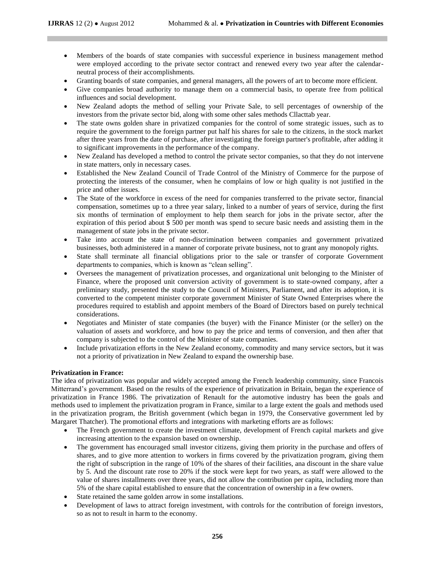- Members of the boards of state companies with successful experience in business management method were employed according to the private sector contract and renewed every two year after the calendarneutral process of their accomplishments.
- Granting boards of state companies, and general managers, all the powers of art to become more efficient.
- Give companies broad authority to manage them on a commercial basis, to operate free from political influences and social development.
- New Zealand adopts the method of selling your Private Sale, to sell percentages of ownership of the investors from the private sector bid, along with some other sales methods Cllacttab year.
- The state owns golden share in privatized companies for the control of some strategic issues, such as to require the government to the foreign partner put half his shares for sale to the citizens, in the stock market after three years from the date of purchase, after investigating the foreign partner's profitable, after adding it to significant improvements in the performance of the company.
- New Zealand has developed a method to control the private sector companies, so that they do not intervene in state matters, only in necessary cases.
- Established the New Zealand Council of Trade Control of the Ministry of Commerce for the purpose of protecting the interests of the consumer, when he complains of low or high quality is not justified in the price and other issues.
- The State of the workforce in excess of the need for companies transferred to the private sector, financial compensation, sometimes up to a three year salary, linked to a number of years of service, during the first six months of termination of employment to help them search for jobs in the private sector, after the expiration of this period about \$ 500 per month was spend to secure basic needs and assisting them in the management of state jobs in the private sector.
- Take into account the state of non-discrimination between companies and government privatized businesses, both administered in a manner of corporate private business, not to grant any monopoly rights.
- State shall terminate all financial obligations prior to the sale or transfer of corporate Government departments to companies, which is known as "clean selling".
- Oversees the management of privatization processes, and organizational unit belonging to the Minister of Finance, where the proposed unit conversion activity of government is to state-owned company, after a preliminary study, presented the study to the Council of Ministers, Parliament, and after its adoption, it is converted to the competent minister corporate government Minister of State Owned Enterprises where the procedures required to establish and appoint members of the Board of Directors based on purely technical considerations.
- Negotiates and Minister of state companies (the buyer) with the Finance Minister (or the seller) on the valuation of assets and workforce, and how to pay the price and terms of conversion, and then after that company is subjected to the control of the Minister of state companies.
- Include privatization efforts in the New Zealand economy, commodity and many service sectors, but it was not a priority of privatization in New Zealand to expand the ownership base.

# **Privatization in France:**

The idea of privatization was popular and widely accepted among the French leadership community, since Francois Mitterrand's government. Based on the results of the experience of privatization in Britain, began the experience of privatization in France 1986. The privatization of Renault for the automotive industry has been the goals and methods used to implement the privatization program in France, similar to a large extent the goals and methods used in the privatization program, the British government (which began in 1979, the Conservative government led by Margaret Thatcher). The promotional efforts and integrations with marketing efforts are as follows:

- The French government to create the investment climate, development of French capital markets and give increasing attention to the expansion based on ownership.
- The government has encouraged small investor citizens, giving them priority in the purchase and offers of shares, and to give more attention to workers in firms covered by the privatization program, giving them the right of subscription in the range of 10% of the shares of their facilities, ana discount in the share value by 5. And the discount rate rose to 20% if the stock were kept for two years, as staff were allowed to the value of shares installments over three years, did not allow the contribution per capita, including more than 5% of the share capital established to ensure that the concentration of ownership in a few owners.
- State retained the same golden arrow in some installations.
- Development of laws to attract foreign investment, with controls for the contribution of foreign investors, so as not to result in harm to the economy.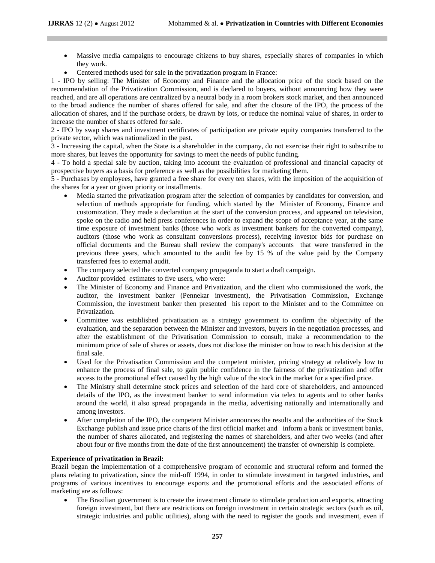- Massive media campaigns to encourage citizens to buy shares, especially shares of companies in which they work.
- Centered methods used for sale in the privatization program in France:

1 - IPO by selling: The Minister of Economy and Finance and the allocation price of the stock based on the recommendation of the Privatization Commission, and is declared to buyers, without announcing how they were reached, and are all operations are centralized by a neutral body in a room brokers stock market, and then announced to the broad audience the number of shares offered for sale, and after the closure of the IPO, the process of the allocation of shares, and if the purchase orders, be drawn by lots, or reduce the nominal value of shares, in order to increase the number of shares offered for sale.

2 - IPO by swap shares and investment certificates of participation are private equity companies transferred to the private sector, which was nationalized in the past.

3 - Increasing the capital, when the State is a shareholder in the company, do not exercise their right to subscribe to more shares, but leaves the opportunity for savings to meet the needs of public funding.

4 - To hold a special sale by auction, taking into account the evaluation of professional and financial capacity of prospective buyers as a basis for preference as well as the possibilities for marketing them.

5 - Purchases by employees, have granted a free share for every ten shares, with the imposition of the acquisition of the shares for a year or given priority or installments.

- Media started the privatization program after the selection of companies by candidates for conversion, and selection of methods appropriate for funding, which started by the Minister of Economy, Finance and customization. They made a declaration at the start of the conversion process, and appeared on television, spoke on the radio and held press conferences in order to expand the scope of acceptance year, at the same time exposure of investment banks (those who work as investment bankers for the converted company), auditors (those who work as consultant conversions process), receiving investor bids for purchase on official documents and the Bureau shall review the company's accounts that were transferred in the previous three years, which amounted to the audit fee by 15 % of the value paid by the Company transferred fees to external audit.
- The company selected the converted company propaganda to start a draft campaign.
- Auditor provided estimates to five users, who were:
- The Minister of Economy and Finance and Privatization, and the client who commissioned the work, the auditor, the investment banker (Pennekar investment), the Privatisation Commission, Exchange Commission, the investment banker then presented his report to the Minister and to the Committee on Privatization.
- Committee was established privatization as a strategy government to confirm the objectivity of the evaluation, and the separation between the Minister and investors, buyers in the negotiation processes, and after the establishment of the Privatisation Commission to consult, make a recommendation to the minimum price of sale of shares or assets, does not disclose the minister on how to reach his decision at the final sale.
- Used for the Privatisation Commission and the competent minister, pricing strategy at relatively low to enhance the process of final sale, to gain public confidence in the fairness of the privatization and offer access to the promotional effect caused by the high value of the stock in the market for a specified price.
- The Ministry shall determine stock prices and selection of the hard core of shareholders, and announced details of the IPO, as the investment banker to send information via telex to agents and to other banks around the world, it also spread propaganda in the media, advertising nationally and internationally and among investors.
- After completion of the IPO, the competent Minister announces the results and the authorities of the Stock Exchange publish and issue price charts of the first official market and inform a bank or investment banks, the number of shares allocated, and registering the names of shareholders, and after two weeks (and after about four or five months from the date of the first announcement) the transfer of ownership is complete.

# **Experience of privatization in Brazil:**

Brazil began the implementation of a comprehensive program of economic and structural reform and formed the plans relating to privatization, since the mid-off 1994, in order to stimulate investment in targeted industries, and programs of various incentives to encourage exports and the promotional efforts and the associated efforts of marketing are as follows:

 The Brazilian government is to create the investment climate to stimulate production and exports, attracting foreign investment, but there are restrictions on foreign investment in certain strategic sectors (such as oil, strategic industries and public utilities), along with the need to register the goods and investment, even if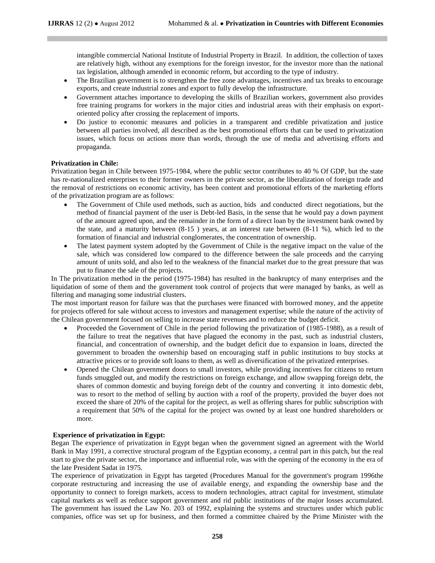intangible commercial National Institute of Industrial Property in Brazil. In addition, the collection of taxes are relatively high, without any exemptions for the foreign investor, for the investor more than the national tax legislation, although amended in economic reform, but according to the type of industry.

- The Brazilian government is to strengthen the free zone advantages, incentives and tax breaks to encourage exports, and create industrial zones and export to fully develop the infrastructure.
- Government attaches importance to developing the skills of Brazilian workers, government also provides free training programs for workers in the major cities and industrial areas with their emphasis on exportoriented policy after crossing the replacement of imports.
- Do justice to economic measures and policies in a transparent and credible privatization and justice between all parties involved, all described as the best promotional efforts that can be used to privatization issues, which focus on actions more than words, through the use of media and advertising efforts and propaganda.

#### **Privatization in Chile:**

Privatization began in Chile between 1975-1984, where the public sector contributes to 40 % Of GDP, but the state has re-nationalized enterprises to their former owners in the private sector, as the liberalization of foreign trade and the removal of restrictions on economic activity, has been content and promotional efforts of the marketing efforts of the privatization program are as follows:

- The Government of Chile used methods, such as auction, bids and conducted direct negotiations, but the method of financial payment of the user is Debt-led Basis, in the sense that he would pay a down payment of the amount agreed upon, and the remainder in the form of a direct loan by the investment bank owned by the state, and a maturity between  $(8-15)$  years, at an interest rate between  $(8-11, 96)$ , which led to the formation of financial and industrial conglomerates, the concentration of ownership.
- The latest payment system adopted by the Government of Chile is the negative impact on the value of the sale, which was considered low compared to the difference between the sale proceeds and the carrying amount of units sold, and also led to the weakness of the financial market due to the great pressure that was put to finance the sale of the projects.

In The privatization method in the period (1975-1984) has resulted in the bankruptcy of many enterprises and the liquidation of some of them and the government took control of projects that were managed by banks, as well as filtering and managing some industrial clusters.

The most important reason for failure was that the purchases were financed with borrowed money, and the appetite for projects offered for sale without access to investors and management expertise; while the nature of the activity of the Chilean government focused on selling to increase state revenues and to reduce the budget deficit.

- Proceeded the Government of Chile in the period following the privatization of (1985-1988), as a result of the failure to treat the negatives that have plagued the economy in the past, such as industrial clusters, financial, and concentration of ownership, and the budget deficit due to expansion in loans, directed the government to broaden the ownership based on encouraging staff in public institutions to buy stocks at attractive prices or to provide soft loans to them, as well as diversification of the privatized enterprises.
- Opened the Chilean government doors to small investors, while providing incentives for citizens to return funds smuggled out, and modify the restrictions on foreign exchange, and allow swapping foreign debt, the shares of common domestic and buying foreign debt of the country and converting it into domestic debt, was to resort to the method of selling by auction with a roof of the property, provided the buyer does not exceed the share of 20% of the capital for the project, as well as offering shares for public subscription with a requirement that 50% of the capital for the project was owned by at least one hundred shareholders or more.

#### **Experience of privatization in Egypt:**

Began The experience of privatization in Egypt began when the government signed an agreement with the World Bank in May 1991, a corrective structural program of the Egyptian economy, a central part in this patch, but the real start to give the private sector, the importance and influential role, was with the opening of the economy in the era of the late President Sadat in 1975.

The experience of privatization in Egypt has targeted (Procedures Manual for the government's program 1996the corporate restructuring and increasing the use of available energy, and expanding the ownership base and the opportunity to connect to foreign markets, access to modern technologies, attract capital for investment, stimulate capital markets as well as reduce support government and rid public institutions of the major losses accumulated. The government has issued the Law No. 203 of 1992, explaining the systems and structures under which public companies, office was set up for business, and then formed a committee chaired by the Prime Minister with the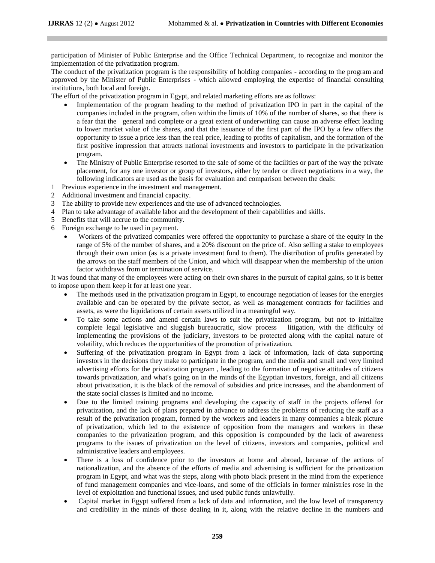participation of Minister of Public Enterprise and the Office Technical Department, to recognize and monitor the implementation of the privatization program.

The conduct of the privatization program is the responsibility of holding companies - according to the program and approved by the Minister of Public Enterprises - which allowed employing the expertise of financial consulting institutions, both local and foreign.

The effort of the privatization program in Egypt, and related marketing efforts are as follows:

- Implementation of the program heading to the method of privatization IPO in part in the capital of the companies included in the program, often within the limits of 10% of the number of shares, so that there is a fear that the general and complete or a great extent of underwriting can cause an adverse effect leading to lower market value of the shares, and that the issuance of the first part of the IPO by a few offers the opportunity to issue a price less than the real price, leading to profits of capitalism, and the formation of the first positive impression that attracts national investments and investors to participate in the privatization program.
- The Ministry of Public Enterprise resorted to the sale of some of the facilities or part of the way the private placement, for any one investor or group of investors, either by tender or direct negotiations in a way, the following indicators are used as the basis for evaluation and comparison between the deals:
- 1 Previous experience in the investment and management.
- 2 Additional investment and financial capacity.
- 3 The ability to provide new experiences and the use of advanced technologies.
- 4 Plan to take advantage of available labor and the development of their capabilities and skills.
- 5 Benefits that will accrue to the community.
- 6 Foreign exchange to be used in payment.
	- Workers of the privatized companies were offered the opportunity to purchase a share of the equity in the range of 5% of the number of shares, and a 20% discount on the price of. Also selling a stake to employees through their own union (as is a private investment fund to them). The distribution of profits generated by the arrows on the staff members of the Union, and which will disappear when the membership of the union factor withdraws from or termination of service.

It was found that many of the employees were acting on their own shares in the pursuit of capital gains, so it is better to impose upon them keep it for at least one year.

- The methods used in the privatization program in Egypt, to encourage negotiation of leases for the energies available and can be operated by the private sector, as well as management contracts for facilities and assets, as were the liquidations of certain assets utilized in a meaningful way.
- To take some actions and amend certain laws to suit the privatization program, but not to initialize complete legal legislative and sluggish bureaucratic, slow process litigation, with the difficulty of implementing the provisions of the judiciary, investors to be protected along with the capital nature of volatility, which reduces the opportunities of the promotion of privatization.
- Suffering of the privatization program in Egypt from a lack of information, lack of data supporting investors in the decisions they make to participate in the program, and the media and small and very limited advertising efforts for the privatization program , leading to the formation of negative attitudes of citizens towards privatization, and what's going on in the minds of the Egyptian investors, foreign, and all citizens about privatization, it is the black of the removal of subsidies and price increases, and the abandonment of the state social classes is limited and no income.
- Due to the limited training programs and developing the capacity of staff in the projects offered for privatization, and the lack of plans prepared in advance to address the problems of reducing the staff as a result of the privatization program, formed by the workers and leaders in many companies a bleak picture of privatization, which led to the existence of opposition from the managers and workers in these companies to the privatization program, and this opposition is compounded by the lack of awareness programs to the issues of privatization on the level of citizens, investors and companies, political and administrative leaders and employees.
- There is a loss of confidence prior to the investors at home and abroad, because of the actions of nationalization, and the absence of the efforts of media and advertising is sufficient for the privatization program in Egypt, and what was the steps, along with photo black present in the mind from the experience of fund management companies and vice-loans, and some of the officials in former ministries rose in the level of exploitation and functional issues, and used public funds unlawfully.
- Capital market in Egypt suffered from a lack of data and information, and the low level of transparency and credibility in the minds of those dealing in it, along with the relative decline in the numbers and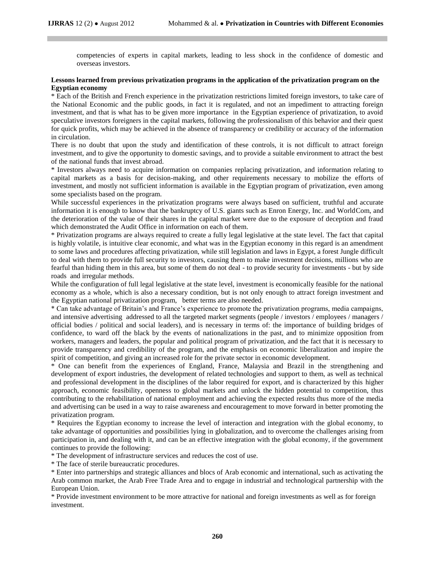competencies of experts in capital markets, leading to less shock in the confidence of domestic and overseas investors.

#### **Lessons learned from previous privatization programs in the application of the privatization program on the Egyptian economy**

\* Each of the British and French experience in the privatization restrictions limited foreign investors, to take care of the National Economic and the public goods, in fact it is regulated, and not an impediment to attracting foreign investment, and that is what has to be given more importance in the Egyptian experience of privatization, to avoid speculative investors foreigners in the capital markets, following the professionalism of this behavior and their quest for quick profits, which may be achieved in the absence of transparency or credibility or accuracy of the information in circulation.

There is no doubt that upon the study and identification of these controls, it is not difficult to attract foreign investment, and to give the opportunity to domestic savings, and to provide a suitable environment to attract the best of the national funds that invest abroad.

\* Investors always need to acquire information on companies replacing privatization, and information relating to capital markets as a basis for decision-making, and other requirements necessary to mobilize the efforts of investment, and mostly not sufficient information is available in the Egyptian program of privatization, even among some specialists based on the program.

While successful experiences in the privatization programs were always based on sufficient, truthful and accurate information it is enough to know that the bankruptcy of U.S. giants such as Enron Energy, Inc. and WorldCom, and the deterioration of the value of their shares in the capital market were due to the exposure of deception and fraud which demonstrated the Audit Office in information on each of them.

\* Privatization programs are always required to create a fully legal legislative at the state level. The fact that capital is highly volatile, is intuitive clear economic, and what was in the Egyptian economy in this regard is an amendment to some laws and procedures affecting privatization, while still legislation and laws in Egypt, a forest Jungle difficult to deal with them to provide full security to investors, causing them to make investment decisions, millions who are fearful than hiding them in this area, but some of them do not deal - to provide security for investments - but by side roads and irregular methods.

While the configuration of full legal legislative at the state level, investment is economically feasible for the national economy as a whole, which is also a necessary condition, but is not only enough to attract foreign investment and the Egyptian national privatization program, better terms are also needed.

\* Can take advantage of Britain's and France's experience to promote the privatization programs, media campaigns, and intensive advertising addressed to all the targeted market segments (people / investors / employees / managers / official bodies / political and social leaders), and is necessary in terms of: the importance of building bridges of confidence, to ward off the black by the events of nationalizations in the past, and to minimize opposition from workers, managers and leaders, the popular and political program of privatization, and the fact that it is necessary to provide transparency and credibility of the program, and the emphasis on economic liberalization and inspire the spirit of competition, and giving an increased role for the private sector in economic development.

\* One can benefit from the experiences of England, France, Malaysia and Brazil in the strengthening and development of export industries, the development of related technologies and support to them, as well as technical and professional development in the disciplines of the labor required for export, and is characterized by this higher approach, economic feasibility, openness to global markets and unlock the hidden potential to competition, thus contributing to the rehabilitation of national employment and achieving the expected results thus more of the media and advertising can be used in a way to raise awareness and encouragement to move forward in better promoting the privatization program.

\* Requires the Egyptian economy to increase the level of interaction and integration with the global economy, to take advantage of opportunities and possibilities lying in globalization, and to overcome the challenges arising from participation in, and dealing with it, and can be an effective integration with the global economy, if the government continues to provide the following:

\* The development of infrastructure services and reduces the cost of use.

\* The face of sterile bureaucratic procedures.

\* Enter into partnerships and strategic alliances and blocs of Arab economic and international, such as activating the Arab common market, the Arab Free Trade Area and to engage in industrial and technological partnership with the European Union.

\* Provide investment environment to be more attractive for national and foreign investments as well as for foreign investment.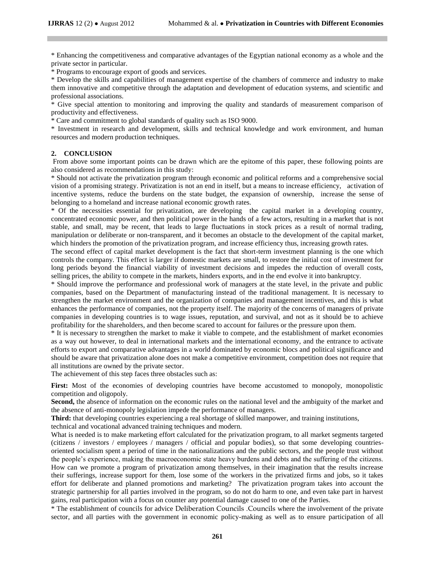\* Enhancing the competitiveness and comparative advantages of the Egyptian national economy as a whole and the private sector in particular.

\* Programs to encourage export of goods and services.

\* Develop the skills and capabilities of management expertise of the chambers of commerce and industry to make them innovative and competitive through the adaptation and development of education systems, and scientific and professional associations.

\* Give special attention to monitoring and improving the quality and standards of measurement comparison of productivity and effectiveness.

\* Care and commitment to global standards of quality such as ISO 9000.

\* Investment in research and development, skills and technical knowledge and work environment, and human resources and modern production techniques.

#### **2. CONCLUSION**

From above some important points can be drawn which are the epitome of this paper, these following points are also considered as recommendations in this study:

\* Should not activate the privatization program through economic and political reforms and a comprehensive social vision of a promising strategy. Privatization is not an end in itself, but a means to increase efficiency, activation of incentive systems, reduce the burdens on the state budget, the expansion of ownership, increase the sense of belonging to a homeland and increase national economic growth rates.

\* Of the necessities essential for privatization, are developing the capital market in a developing country, concentrated economic power, and then political power in the hands of a few actors, resulting in a market that is not stable, and small, may be recent, that leads to large fluctuations in stock prices as a result of normal trading, manipulation or deliberate or non-transparent, and it becomes an obstacle to the development of the capital market, which hinders the promotion of the privatization program, and increase efficiency thus, increasing growth rates.

The second effect of capital market development is the fact that short-term investment planning is the one which controls the company. This effect is larger if domestic markets are small, to restore the initial cost of investment for long periods beyond the financial viability of investment decisions and impedes the reduction of overall costs, selling prices, the ability to compete in the markets, hinders exports, and in the end evolve it into bankruptcy.

\* Should improve the performance and professional work of managers at the state level, in the private and public companies, based on the Department of manufacturing instead of the traditional management. It is necessary to strengthen the market environment and the organization of companies and management incentives, and this is what enhances the performance of companies, not the property itself. The majority of the concerns of managers of private companies in developing countries is to wage issues, reputation, and survival, and not as it should be to achieve profitability for the shareholders, and then become scared to account for failures or the pressure upon them.

\* It is necessary to strengthen the market to make it viable to compete, and the establishment of market economies as a way out however, to deal in international markets and the international economy, and the entrance to activate efforts to export and comparative advantages in a world dominated by economic blocs and political significance and should be aware that privatization alone does not make a competitive environment, competition does not require that all institutions are owned by the private sector.

The achievement of this step faces three obstacles such as:

First: Most of the economies of developing countries have become accustomed to monopoly, monopolistic competition and oligopoly.

**Second,** the absence of information on the economic rules on the national level and the ambiguity of the market and the absence of anti-monopoly legislation impede the performance of managers.

**Third:** that developing countries experiencing a real shortage of skilled manpower, and training institutions,

technical and vocational advanced training techniques and modern.

What is needed is to make marketing effort calculated for the privatization program, to all market segments targeted (citizens / investors / employees / managers / official and popular bodies), so that some developing countriesoriented socialism spent a period of time in the nationalizations and the public sectors, and the people trust without the people's experience, making the macroeconomic state heavy burdens and debts and the suffering of the citizens. How can we promote a program of privatization among themselves, in their imagination that the results increase their sufferings, increase support for them, lose some of the workers in the privatized firms and jobs, so it takes effort for deliberate and planned promotions and marketing? The privatization program takes into account the strategic partnership for all parties involved in the program, so do not do harm to one, and even take part in harvest gains, real participation with a focus on counter any potential damage caused to one of the Parties.

\* The establishment of councils for advice Deliberation Councils .Councils where the involvement of the private sector, and all parties with the government in economic policy-making as well as to ensure participation of all